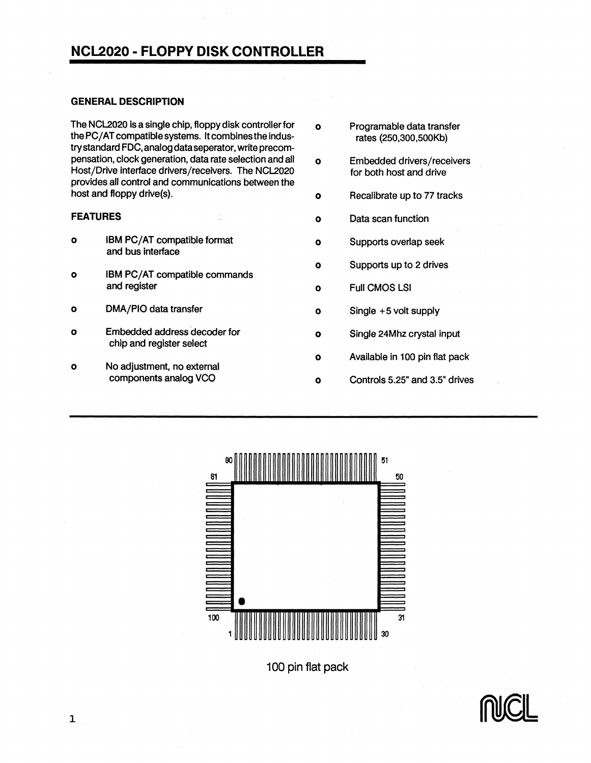#### GENERAL DESCRIPTION

The NCL2020 is a single chip, floppy disk controller for  $\qquad o$  Programable data transfer<br>the PC/AT compatible systems. It combines the indus-<br>rates (250,300,500Kb) the PC/AT compatible systems. It combines the industry standard FOC, analog dataseperator, write precompensation, clock generation, data rate selection and all o Embedded drivers/receivers<br>Host/Drive interface drivers/receivers. The NCL2020 for both host and drive Host/Drive interface drivers/receivers. The NCL2020 provides all control and communications between the host and floppy drive(s).

- o IBM PC/AT compatible format **0** O Supports overlap seek and bus interface
- o IBM PC/AT compatible commands<br>and register
- o DMA/PIO data transfer **0** 0 Single +5 volt supply
- 0 Embedded address decoder for chip and register select
- 0 No adjustment, no external
- 
- 
- **o** Recalibrate up to 77 tracks
- **FEATURES 1989 CONSUMING CONSUMING CONSUMING CONSUMING CONSUMING CONSUMING CONSUMING CONSUMING CONSUMING CONSUMING CONSUMING CONSUMING CONSUMING CONSUMING CONSUMING CONSUMING CONSUMING CONSUMING CONSUMING CONSUMING CON** 
	-
	- 0 Supports up to 2 drives
	- o Full CMOS LSI
	-
	- 0 Single 24Mhz crystal input
	- 0 Available in 100 pin flat pack
	- **o** Controls 5.25" and 3.5" drives



100 pin flat pack

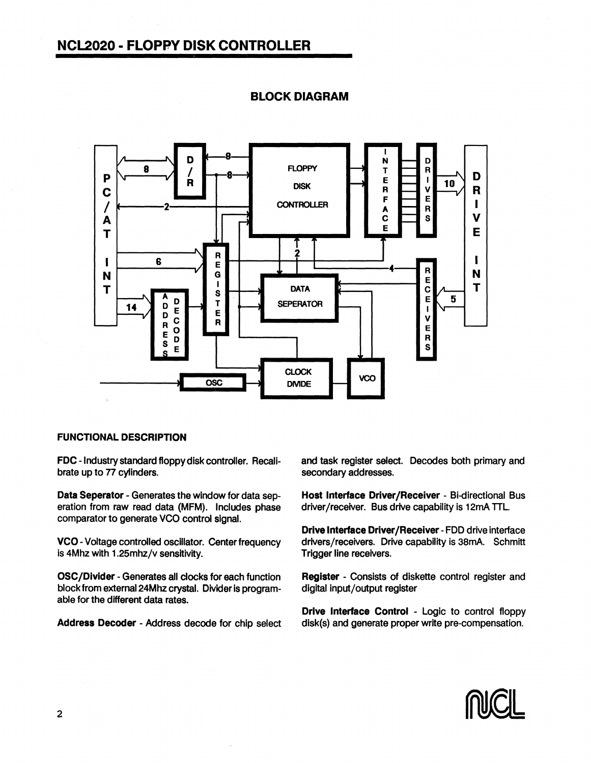

### BLOCK DIAGRAM

#### FUNCTIONAL DESCRIPTION

FDC - Industry standard floppy disk controller. Recalibrate up to 77 cylinders.

Data Seperator - Generates the window for data seperation from raw read data (MFM). Includes phase comparator to generate VCO control signal.

VCO -Voltage controlled oscillator. Center frequency is 4Mhz with 1.25mhz/v sensitivity.

OSC/Dlvider - Generates all docks for each function block from external 24Mhz crystal. Divider is programable for the different data rates.

Address Decoder - Address decode for chip select

and task register select. Decodes both primary and secondary addresses.

Host Interface Driver/Receiver - Bi-directional Bus driver/receiver. Bus drive capability is 12mA TTL.

Drive Interface Driver/Receiver -FDD drive interface drivers/receivers. Drive capability is 38mA. Schmitt Trigger line receivers.

Register - Consists of diskette control register and digital input/output register

Drive Interface Control - Logic to control floppy disk(s) and generate proper write pre-compensation.

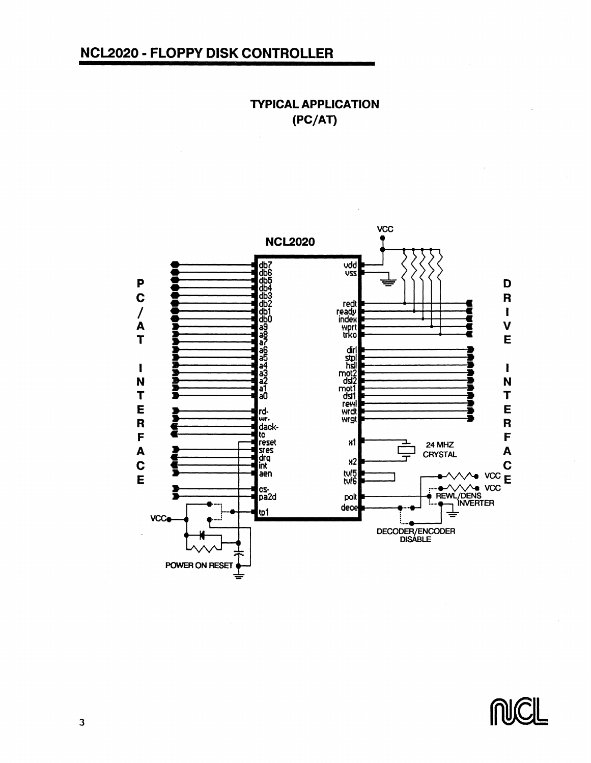**TYPICAL APPLICATION**  $(PC/AT)$ 



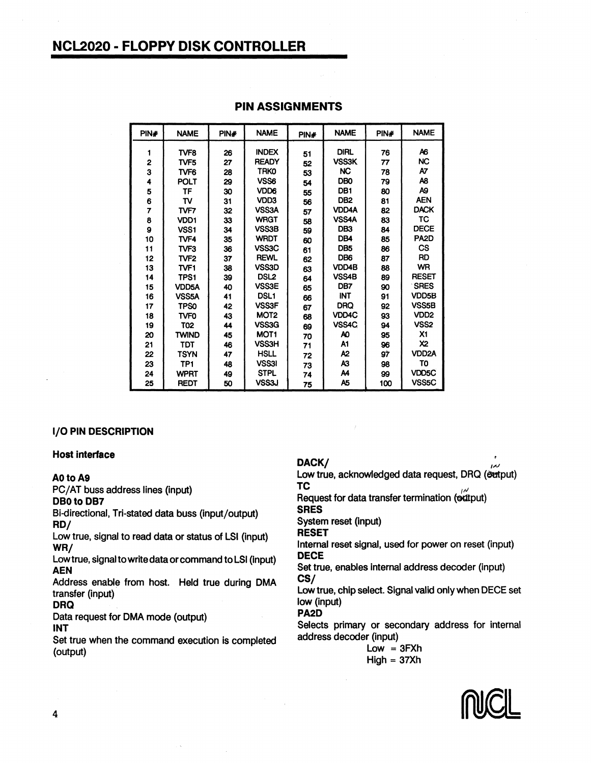| PIN# | <b>NAME</b>      | PIN# | <b>NAME</b>      | PIN# | <b>NAME</b>     | PIN# | <b>NAME</b>        |
|------|------------------|------|------------------|------|-----------------|------|--------------------|
| 1    | TVF <sub>8</sub> | 26   | <b>INDEX</b>     | 51   | <b>DIRL</b>     | 76   | Α6                 |
| 2    | TVF <sub>5</sub> | 27   | <b>READY</b>     | 52   | <b>VSS3K</b>    | 77   | <b>NC</b>          |
| 3    | TVF <sub>6</sub> | 28   | <b>TRKO</b>      | 53   | <b>NC</b>       | 78   | A7                 |
| 4    | <b>POLT</b>      | 29   | VSS6             | 54   | <b>DBO</b>      | 79   | A8                 |
| 5    | TF               | 30   | VDD6             | 55   | DB1             | 80   | A9                 |
| 6    | TV               | 31   | VDD3             | 56   | DB <sub>2</sub> | 81   | <b>AEN</b>         |
| 7    | TVF7             | 32   | VSS3A            | 57   | <b>VDD4A</b>    | 82   | <b>DACK</b>        |
| 8    | VDD <sub>1</sub> | 33   | <b>WRGT</b>      | 58   | VSS4A           | 83   | TC                 |
| 9    | VSS <sub>1</sub> | 34   | VSS3B            | 59   | DB <sub>3</sub> | 84   | <b>DECE</b>        |
| 10   | TVF4             | 35   | <b>WRDT</b>      | 60   | DB4             | 85   | PA <sub>2</sub> D  |
| 11   | TVF3             | 36   | VSS3C            | 61   | DB <sub>5</sub> | 86   | <b>CS</b>          |
| 12   | TVF <sub>2</sub> | 37   | <b>REWL</b>      | 62   | DB <sub>6</sub> | 87   | <b>RD</b>          |
| 13   | TVF1             | 38   | VSS3D            | 63   | VDD4B           | 88   | <b>WR</b>          |
| 14   | TPS1             | 39   | DSL <sub>2</sub> | 64   | VSS4B           | 89   | <b>RESET</b>       |
| 15   | <b>VDD5A</b>     | 40   | <b>VSS3E</b>     | 65   | DB7             | 90   | <b>SRES</b>        |
| 16   | VSS5A            | 41   | DSL <sub>1</sub> | 66   | <b>INT</b>      | 91   | VDD <sub>5</sub> B |
| 17   | <b>TPS0</b>      | 42   | <b>VSS3F</b>     | 67   | <b>DRQ</b>      | 92   | VSS <sub>5</sub> B |
| 18   | <b>TVFO</b>      | 43   | MOT <sub>2</sub> | 68   | VDD4C           | 93   | VD <sub>D2</sub>   |
| 19   | T02              | 44   | VSS3G            | 69   | VSS4C           | 94   | VSS <sub>2</sub>   |
| 20   | <b>TWIND</b>     | 45   | MOT <sub>1</sub> | 70   | AO.             | 95   | Х1                 |
| 21   | TDT              | 46   | <b>VSS3H</b>     | 71   | A1              | 96   | X2                 |
| 22   | <b>TSYN</b>      | 47   | <b>HSLL</b>      | 72   | A2              | 97   | VDD <sub>2</sub> A |
| 23   | TP <sub>1</sub>  | 48   | <b>VSS3I</b>     | 73   | A3              | 98   | TO                 |
| 24   | <b>WPRT</b>      | 49   | <b>STPL</b>      | 74   | A4              | 99   | VDD5C              |
| 25   | <b>REDT</b>      | 50   | VSS3J            | 75   | A5              | 100  | VSS <sub>5</sub> C |

#### PIN ASSIGNMENTS

#### I/O PIN DESCRIPTION

#### Host interface

#### AO to A9

PC/AT buss address lines (input)

DB0 to DB7 Bi-directional, Tri-stated data buss (input/output)

RD/

Low true, signal to read data or status of LSI (input) WR/

Low true, signal to write data or command to LSI (input) AEN

Address enable from host. Held true during DMA transfer (input)

DRQ

Data request for DMA mode (output) INT

Set true when the command execution is completed (output)

#### DACK/

Low true, acknowledged data request, DRQ (extput) TC  $\mathbf{U}$ 

Request for data transfer termination (octtput) SRES

System reset (input)

RESET

Internal reset signal, used for power on reset (input) DECE

Set true, enables internal address decoder (input) CS/

Low true, chip select. Signal valid only when DECE set low (input)

PA2D

Selects primary or secondary address for internal address decoder (input)

 $Low = 3FXh$  $Hiah = 37Xh$ 

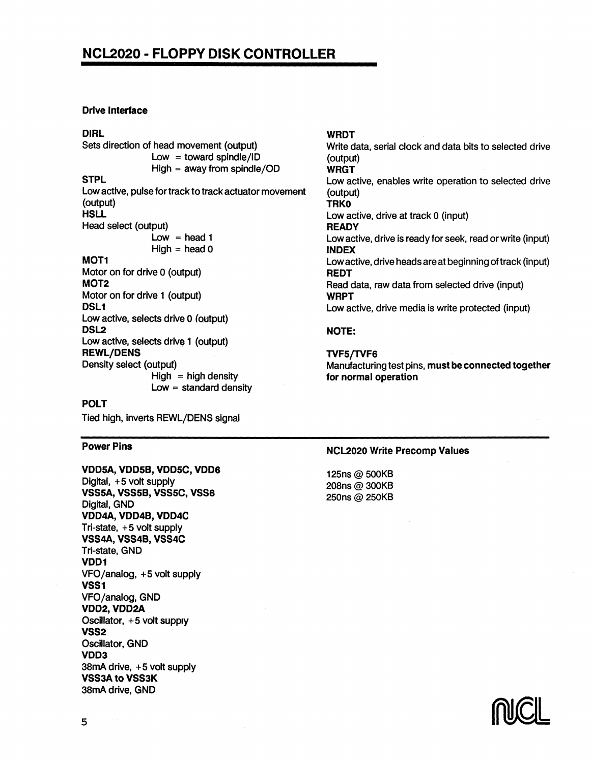#### Drive Interface

#### DIRl

Sets direction of head movement (output) **STPL**  $Low = toward solid/1D$  $High = away from spindle/OD$ Lowactive, pulse for track to track actuator movement (output) **HSLL** Head select (output) MOT1  $Low = head 1$  $High = head 0$ Motor on for drive 0 (output) MOT2 Motor on for drive 1 (output) DSL<sub>1</sub> Low active, selects drive 0 (output) DSL2 Low active, selects drive 1 (output) REWl/DENS Density select (output)  $High = high density$ 

Low  $=$  standard density

#### POlT

Tied high, inverts REWL/DENS signal

#### Power Pins

VDDSA,VDDSB,VDDSC,VDD6 Digital, +5 volt supply VSSSA,VSSSB,VSSSC,VSS6 Digital, GND VDD4A, VDD4B, VDD4C Tri-state, +5 volt supply VSS4A, VSS4B, VSS4C Tri-state, GND VDD1 VFO/analog, +5 volt supply VSS1 VFO /analog, GND VDD2, VDD2A Oscillator, +5 volt supply VSS2 Oscillator, GND VDD3 38mA drive, +5 volt supply VSS3A to VSS3K 38mA drive, GND

### WRDT

Write data, serial clock and data bits to selected drive (output) WRGT Low active, enables write operation to selected drive (output) **TRKO** Low active, drive at track 0 (input) **READY** Low active, drive is ready for seek, read or write (input) INDEX Low active, drive heads are at beginning oftrack (input) REDT Read data, raw data from selected drive (input) WRPT Low active, drive media is write protected (input)

#### NOTE:

TVFS/TVF6 Manufacturing test pins, must be connected together for normal operation

#### NCL2020 Write Precomp Values

125ns@ 500KB 208ns @ 300KB 250ns @ 250KB

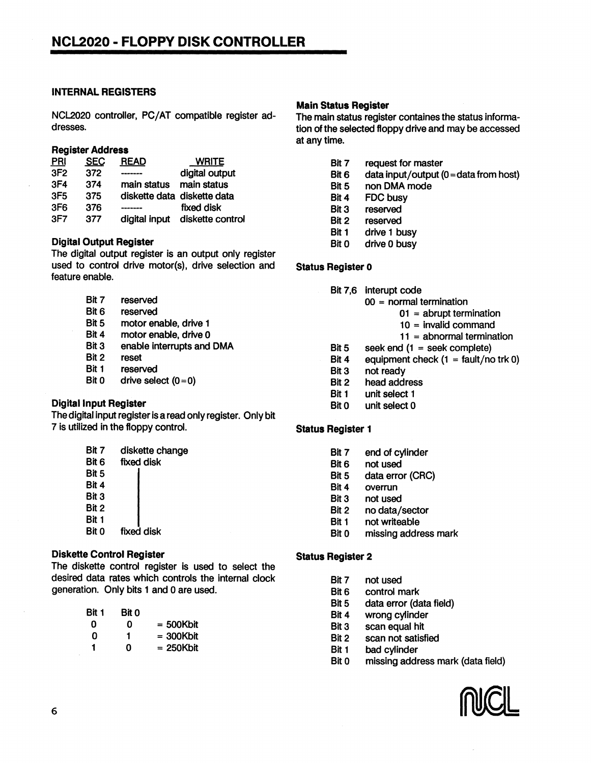#### INTERNAL REGISTERS

NCL2020 controller, PC/AT compatible register addresses.

#### Register Address

| <b>PRI</b>      | <b>SEC</b> | <b>READ</b>                 | <b>WRITE</b>     |
|-----------------|------------|-----------------------------|------------------|
| 3F <sub>2</sub> | 372        |                             | digital output   |
| 3F <sub>4</sub> | 374        | main status                 | main status      |
| 3F <sub>5</sub> | 375        | diskette data diskette data |                  |
| 3F <sub>6</sub> | 376        |                             | fixed disk       |
| 3F7             | 377        | digital input               | diskette control |
|                 |            |                             |                  |

#### Digital Output Register

The digital output register is an output only register used to control drive motor(s), drive selection and feature enable.

- Bit 7 reserved Bit 6 reserved Bit 5 motor enable, drive 1 Bit 4 motor enable, drive 0 Bit 3 enable interrupts and DMA
- Bit 2 reset
- Bit 1 reserved
- Bit  $0$  drive select  $(0=0)$

#### Digital Input Register

The digital input register is a read only register. Only bit 7 is utilized in the floppy control.

| Bit 7 | diskette change |  |  |  |
|-------|-----------------|--|--|--|
| Bit 6 | fixed disk      |  |  |  |
| Bit 5 |                 |  |  |  |
| Bit 4 |                 |  |  |  |
| Bit 3 |                 |  |  |  |
| Bit 2 |                 |  |  |  |
| Bit 1 |                 |  |  |  |
| Bit 0 | fixed disk      |  |  |  |

#### Diskette Control Register

The diskette control register is used to select the desired data rates which controls the internal clock generation. Only bits 1 and 0 are used.

| Bit 1 | Bit 0 |              |
|-------|-------|--------------|
| Ω     | ŋ     | $=$ 500Kbit  |
| n     | 1     | $= 300$ Kbit |
| 1     | ი     | = 250Kbit    |

#### **Main Status Register**

The main status register containes the status information of the selected floppy drive and may be accessed at anytime.

- Bit 7 request for master<br>Bit 6 data input/output (
- $data input/output (0 = data from host)$
- Bit 5 non DMA mode<br>Bit 4 FDC busy
- **FDC busy**
- Bit 3 reserved<br>Bit 2 reserved
- Bit 2 reserved<br>Bit 1 drive 1 b
- drive 1 busy
- Bit 0 drive 0 busy

#### Status Register 0

Bit 7,6 Interupt code

- 00 = normal termination
	- $01 =$  abrupt termination
	- 10 = invalid command
	- 11 = abnormal termination
- Bit 5 seek end  $(1 =$  seek complete)
- Bit 4 equipment check  $(1 = \text{fault/no trk 0})$ <br>Bit 3 not ready
- not ready
- Bit 2 head address
- Bit 1 unit select 1<br>Bit 0 unit select 0
- unit select 0

#### Status Register 1

- Bit 7 end of cylinder
- Bit 6 not used
- Bit 5 data error (CRC)
- Bit 4 overrun
- Bit 3 not used
- Bit 2 no data/sector
- Bit 1 not writeable
- Bit 0 missing address mark

#### Status Register 2

- Bit 7 not used
- Bit 6 control mark
- Bit 5 data error (data field)
- Bit 4 wrong cylinder
- Bit 3 scan equal hit
- Bit 2 scan not satisfied
- Bit 1 bad cylinder
- Bit 0 missing address mark (data field)

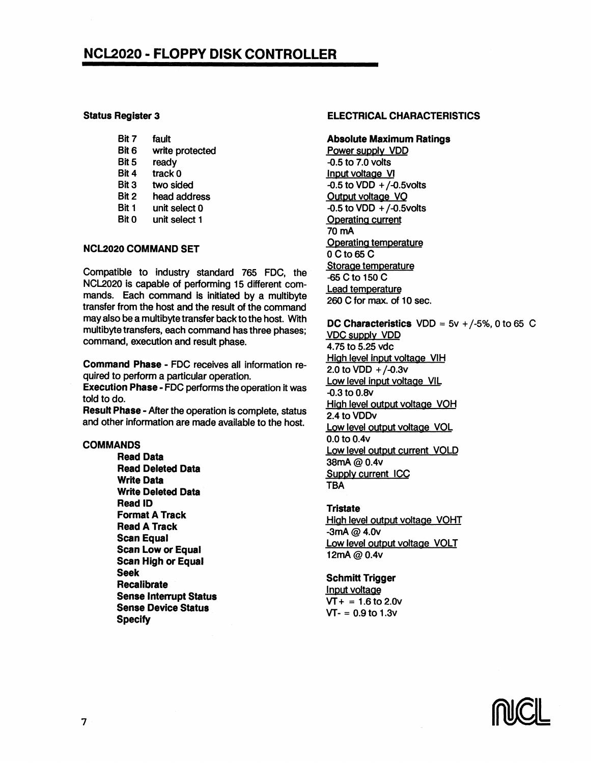#### Status Register 3

| Bit 7 | fault           |
|-------|-----------------|
| Bit 6 | write protected |
| Bit 5 | ready           |
| Bit 4 | track 0         |
| Bit 3 | two sided       |
| Bit 2 | head address    |
| Bit 1 | unit select 0   |
| Bit 0 | unit select 1   |
|       |                 |

#### NCL2020 COMMAND SET

Compatible to industry standard 765 FOC, the NCL2020 is capable of performing 15 different commands. Each command is initiated by a multibyte transfer from the host and the result of the command may also be a multibyte transfer back to the host. With multibyte transfers, each command has three phases; command, execution and result phase.

Command Phase - FOC receives all information required to perform a particular operation.

Execution Phase - FDC performs the operation it was told to do.

Result Phase - After the operation is complete, status and other information are made available to the host.

#### COMMANDS

Read Data Read Deleted Data Write Data Write Deleted Data Read 10 Format A Track Read A Track Scan Equal Scan Low or Equal Scan High or Equal Seek Recalibrate Sense Interrupt Status Sense Device Status **Specify** 

#### ELECTRICAL CHARACTERISTICS

#### Absolute Maximum Ratings

Power supply VOO -0.5 to 7.0 volts Input voltage VI  $-0.5$  to VDD  $+/-0.5$ volts Output voltage VO  $-0.5$  to VDD  $+/-0.5$ volts Operating cyrrent 70mA Operating temperature o Cto65 C Storage temperature -65 Cto 150 C lead temperature 260 C for max. of 10 sec.

#### DC Characteristics  $VDD = 5v + (-5\%), 0$  to 65 C

VOC supply VOO 4.75 to 5.25 vdc High level input voltage VIH 2.0 to  $VDD + / -0.3V$ Low level input voltage VIL -0.3 to 0.8v High level output voltage VOH 2.4 to VODv Low level output voltage VOL 0.0 to 0.4v Low level output current VOLD 38mA@0.4v Supply current ICC TBA

#### **Tristate**

High level output voltage VOHT  $-3mA \omega 4.0v$ Low level output voltage VOLT 12mA@0.4v

#### Schmitt Trigger

Input voltage  $VT + = 1.6$  to 2.0v  $VT - 0.9$  to 1.3v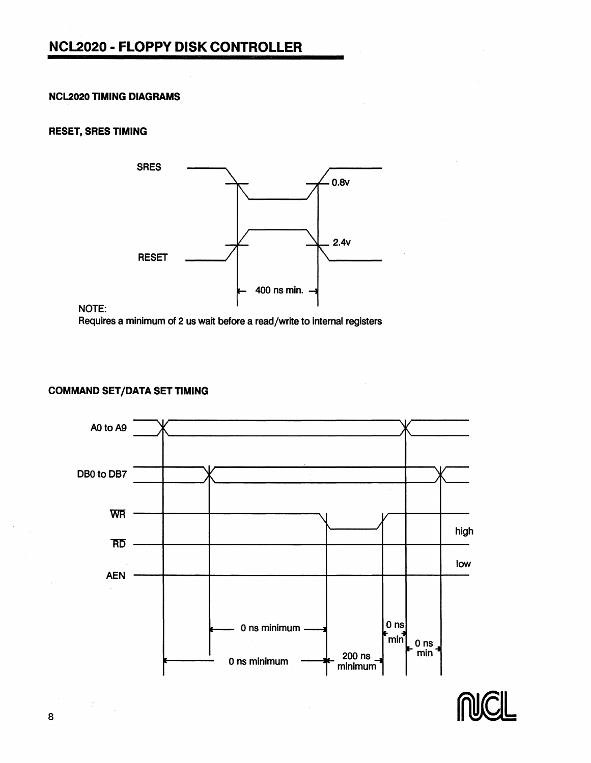#### **NCL2020 TIMING DIAGRAMS**

#### **RESET, SRES TIMING**



#### NOTE:

Requires a minimum of 2 us wait before a read/write to internal registers

#### **COMMAND SET/DATA SET TIMING**



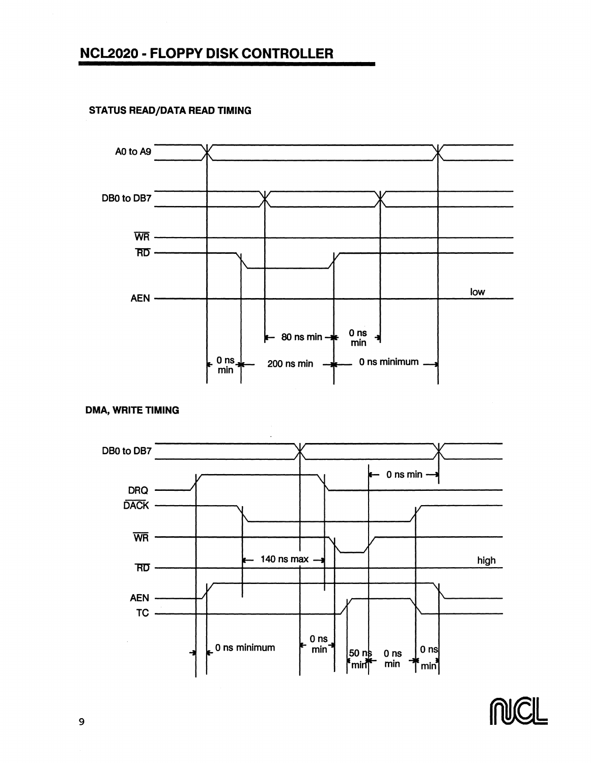

#### **STATUS READ/DATA READ TIMING**





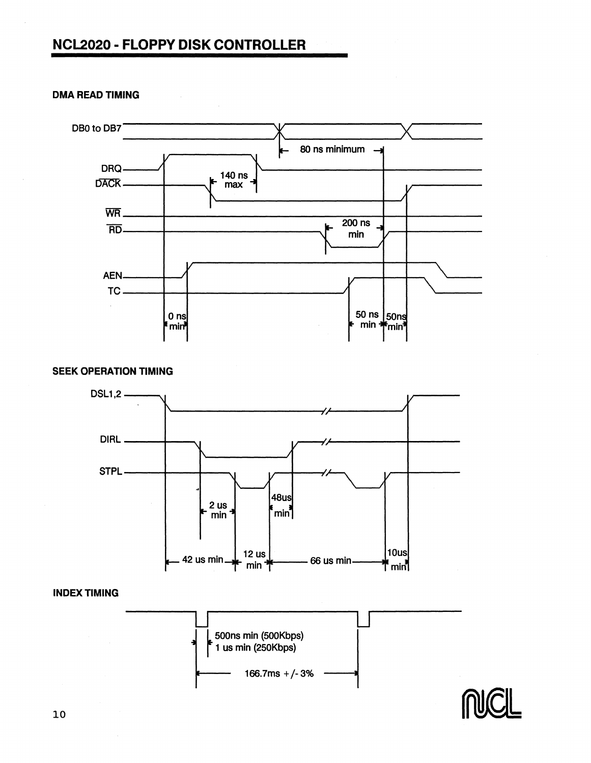

#### **DMA READ TIMING**

#### **SEEK OPERATION TIMING**



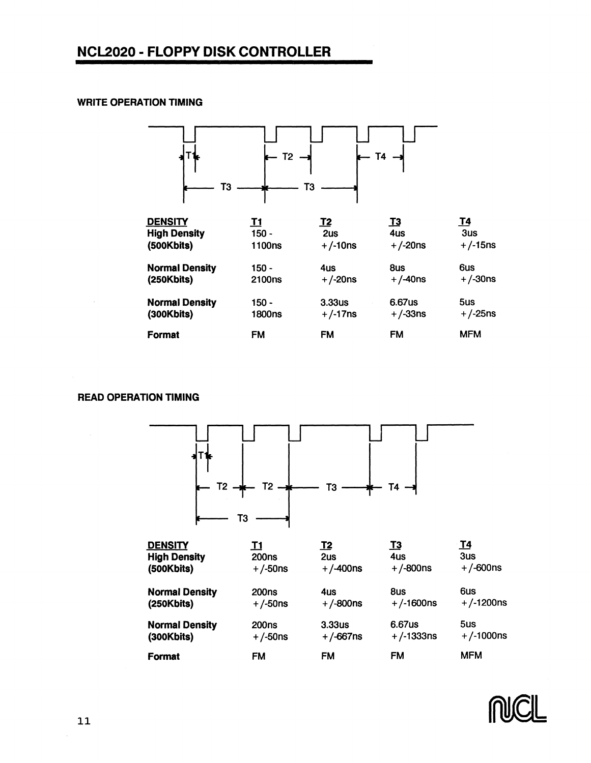#### **WRITE OPERATION TIMING**



| <b>DENSITY</b>        | T1                 | T2         | <u>T3</u>    | <u>т4</u>  |
|-----------------------|--------------------|------------|--------------|------------|
| <b>High Density</b>   | 150 -              | 2us        | 4us          | $3u$ s     |
| (500Kbits)            | 1100ns             | $+/-10$ ns | $+/-20ns$    | $+/-15$ ns |
| <b>Normal Density</b> | 150 -              | 4us        | 8us          | 6us        |
| (250Kbits)            | 2100 <sub>ns</sub> | $+/-20$ ns | $+ / -40$ ns | $+$ /-30ns |
| <b>Normal Density</b> | 150 -              | 3.33us     | 6.67us       | 5us        |
| (300Kbits)            | 1800ns             | $+/-17$ ns | $+/-33ns$    | $+/-25$ ns |
| <b>Format</b>         | FM                 | <b>FM</b>  | FM           | <b>MFM</b> |

#### **READ OPERATION TIMING**



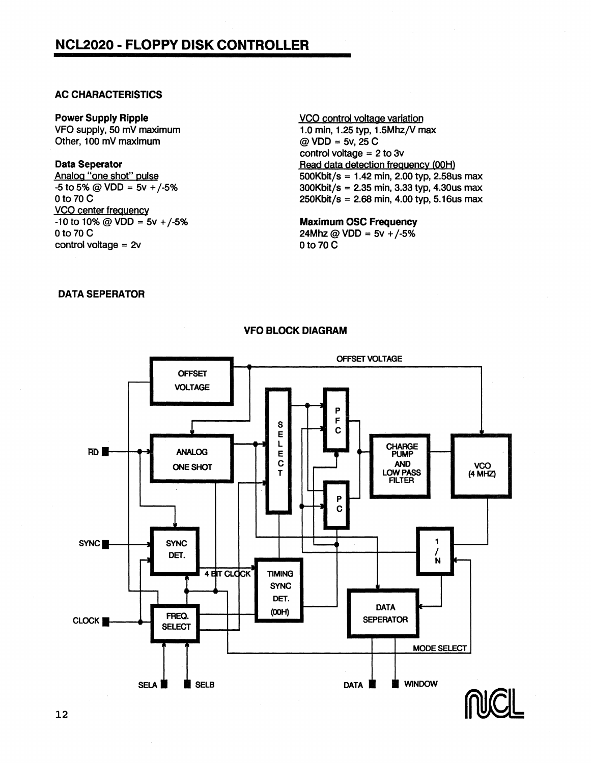#### AC CHARACTERISTICS

Power Supply Ripple VFO supply, 50 mV maximum Other, 100 mV maximum

#### Data Seperator

Analog "one shot" pulse  $-5$  to 5% @ VDD =  $5v + (-5)$ % 0 to 70 C VCO center frequency  $-10$  to 10% @ VDD = 5v +/-5% 0 to 70 C control voltage = 2v

VCO control voltage variation 1.0 min, 1.25 typ, 1.5Mhz/V max  $@$  VDD = 5v, 25 C control voltage  $= 2$  to 3 $v$ Read data detection frequency (00H) SOOKbit/s = 1.42 min, 2.00 typ, 2.58us max 300Kbit/s = 2.35 min, 3.33 typ, 4.30us max  $250Kbit/s = 2.68 min, 4.00 typ, 5.16us max$ 

Maximum OSC Frequency 24Mhz @ VDD =  $5v + (-5)$ %  $0$  to 70 $C$ 

#### DATA SEPERATOR



#### YFO BLOCK DIAGRAM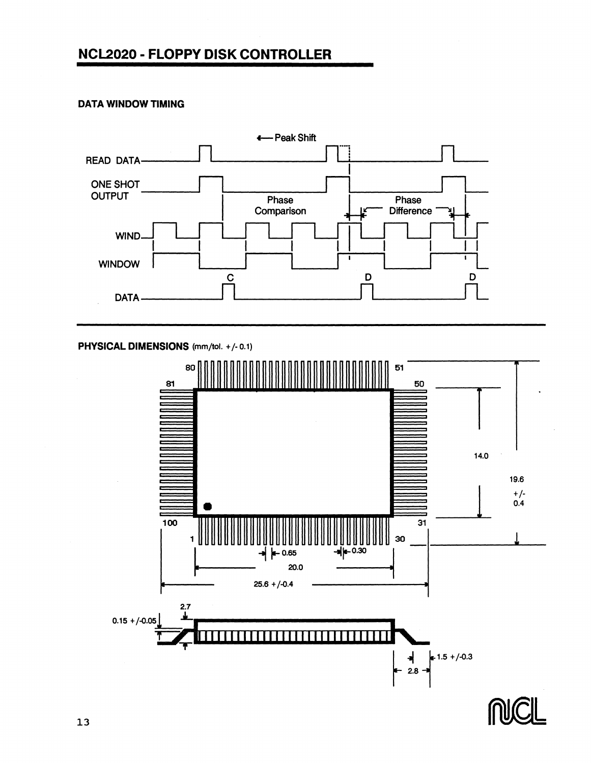#### **DATA WINDOW TIMING**



PHYSICAL DIMENSIONS (mm/tol. +/- 0.1)



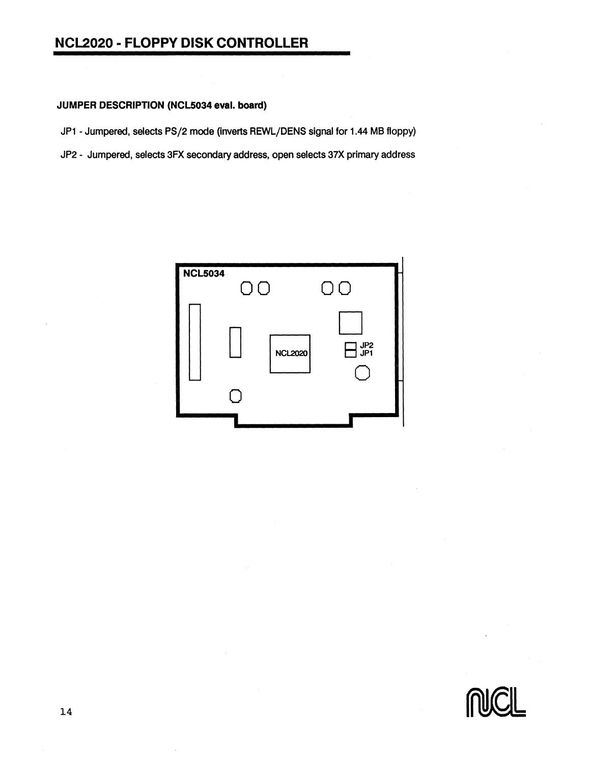#### **JUMPER DESCRIPTION (NCL5034 eval. board)**

JP1 - Jumpered, selects PS/2 mode (inverts REWL/DENS signal for 1.44 MB floppy)

JP2 - Jumpered, selects 3FX secondary address, open selects 37X primary address